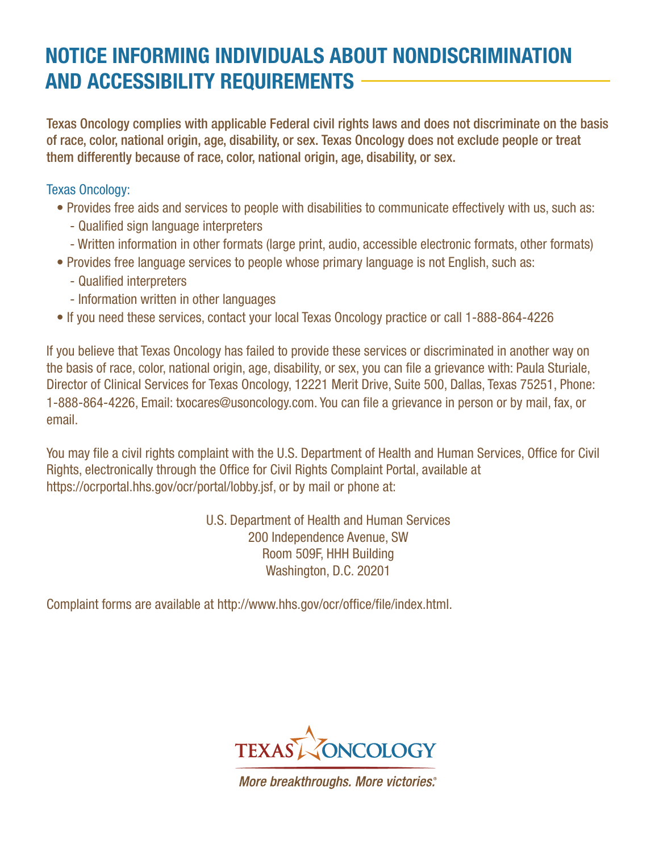## **NOTICE INFORMING INDIVIDUALS ABOUT NONDISCRIMINATION AND ACCESSIBILITY REQUIREMENTS**

Texas Oncology complies with applicable Federal civil rights laws and does not discriminate on the basis of race, color, national origin, age, disability, or sex. Texas Oncology does not exclude people or treat them differently because of race, color, national origin, age, disability, or sex.

Texas Oncology:

- Provides free aids and services to people with disabilities to communicate effectively with us, such as:
	- Qualified sign language interpreters
	- Written information in other formats (large print, audio, accessible electronic formats, other formats)
- Provides free language services to people whose primary language is not English, such as:
	- Qualified interpreters
	- Information written in other languages
- If you need these services, contact your local Texas Oncology practice or call 1-888-864-4226

If you believe that Texas Oncology has failed to provide these services or discriminated in another way on the basis of race, color, national origin, age, disability, or sex, you can file a grievance with: Paula Sturiale, Director of Clinical Services for Texas Oncology, 12221 Merit Drive, Suite 500, Dallas, Texas 75251, Phone: 1-888-864-4226, Email: txocares@usoncology.com. You can file a grievance in person or by mail, fax, or email.

You may file a civil rights complaint with the U.S. Department of Health and Human Services, Office for Civil Rights, electronically through the Office for Civil Rights Complaint Portal, available at https://ocrportal.hhs.gov/ocr/portal/lobby.jsf, or by mail or phone at:

> U.S. Department of Health and Human Services 200 Independence Avenue, SW Room 509F, HHH Building Washington, D.C. 20201

Complaint forms are available at http://www.hhs.gov/ocr/office/file/index.html.



More breakthroughs. More victories.